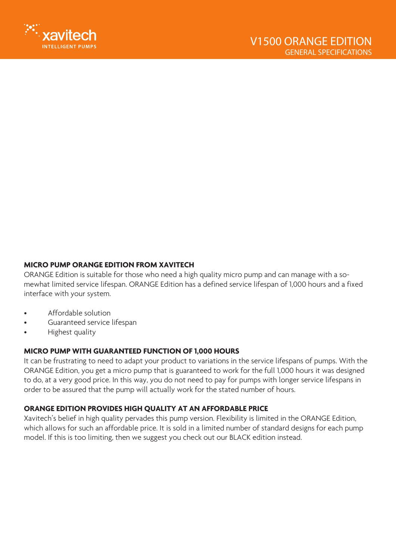

## **MICRO PUMP ORANGE EDITION FROM XAVITECH**

ORANGE Edition is suitable for those who need a high quality micro pump and can manage with a somewhat limited service lifespan. ORANGE Edition has a defined service lifespan of 1,000 hours and a fixed interface with your system.

- Affordable solution
- Guaranteed service lifespan
- Highest quality

## **MICRO PUMP WITH GUARANTEED FUNCTION OF 1,000 HOURS**

It can be frustrating to need to adapt your product to variations in the service lifespans of pumps. With the ORANGE Edition, you get a micro pump that is guaranteed to work for the full 1,000 hours it was designed to do, at a very good price. In this way, you do not need to pay for pumps with longer service lifespans in order to be assured that the pump will actually work for the stated number of hours.

## **ORANGE EDITION PROVIDES HIGH QUALITY AT AN AFFORDABLE PRICE**

Xavitech's belief in high quality pervades this pump version. Flexibility is limited in the ORANGE Edition, which allows for such an affordable price. It is sold in a limited number of standard designs for each pump model. If this is too limiting, then we suggest you check out our BLACK edition instead.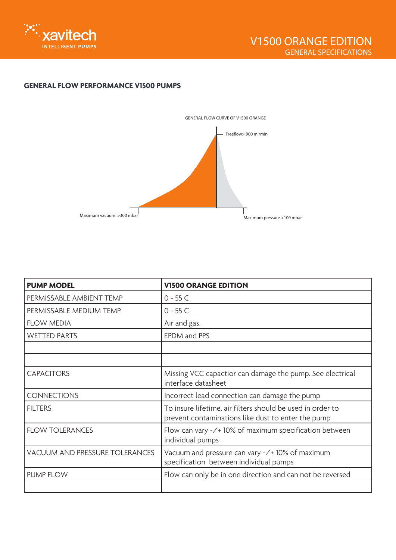

## **GENERAL FLOW PERFORMANCE V1500 PUMPS**



| <b>PUMP MODEL</b>              | <b>V1500 ORANGE EDITION</b>                                                                                      |
|--------------------------------|------------------------------------------------------------------------------------------------------------------|
| PERMISSABLE AMBIENT TEMP       | $0 - 55C$                                                                                                        |
| PERMISSABLE MEDIUM TEMP        | $0 - 55C$                                                                                                        |
| <b>FLOW MEDIA</b>              | Air and gas.                                                                                                     |
| <b>WETTED PARTS</b>            | EPDM and PPS                                                                                                     |
|                                |                                                                                                                  |
|                                |                                                                                                                  |
| <b>CAPACITORS</b>              | Missing VCC capactior can damage the pump. See electrical<br>interface datasheet                                 |
| <b>CONNECTIONS</b>             | Incorrect lead connection can damage the pump                                                                    |
| <b>FILTERS</b>                 | To insure lifetime, air filters should be used in order to<br>prevent contaminations like dust to enter the pump |
| <b>FLOW TOLERANCES</b>         | Flow can vary $-\prime$ 10% of maximum specification between<br>individual pumps                                 |
| VACUUM AND PRESSURE TOLERANCES | Vacuum and pressure can vary -/+ 10% of maximum<br>specification between individual pumps                        |
| <b>PUMP FLOW</b>               | Flow can only be in one direction and can not be reversed                                                        |
|                                |                                                                                                                  |